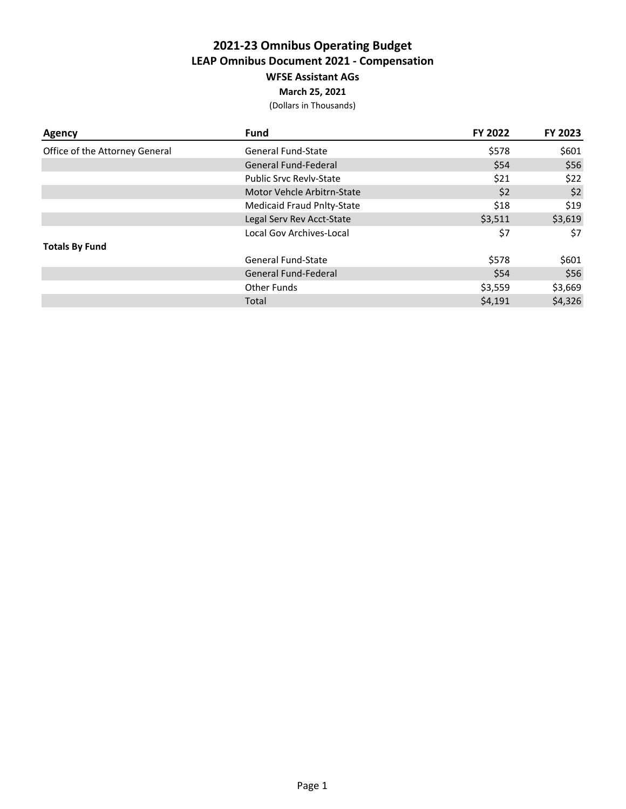## **2021-23 Omnibus Operating Budget LEAP Omnibus Document 2021 - Compensation WFSE Assistant AGs March 25, 2021**

| <b>Agency</b>                  | <b>Fund</b>                       | FY 2022 | FY 2023 |
|--------------------------------|-----------------------------------|---------|---------|
| Office of the Attorney General | General Fund-State                | \$578   | \$601   |
|                                | General Fund-Federal              | \$54    | \$56    |
|                                | <b>Public Srvc Revly-State</b>    | \$21    | \$22    |
|                                | Motor Vehcle Arbitrn-State        | \$2     | \$2     |
|                                | <b>Medicaid Fraud Pnlty-State</b> | \$18    | \$19    |
|                                | Legal Serv Rev Acct-State         | \$3,511 | \$3,619 |
|                                | Local Gov Archives-Local          | \$7     | \$7     |
| <b>Totals By Fund</b>          |                                   |         |         |
|                                | General Fund-State                | \$578   | \$601   |
|                                | General Fund-Federal              | \$54    | \$56    |
|                                | Other Funds                       | \$3,559 | \$3,669 |
|                                | Total                             | \$4,191 | \$4,326 |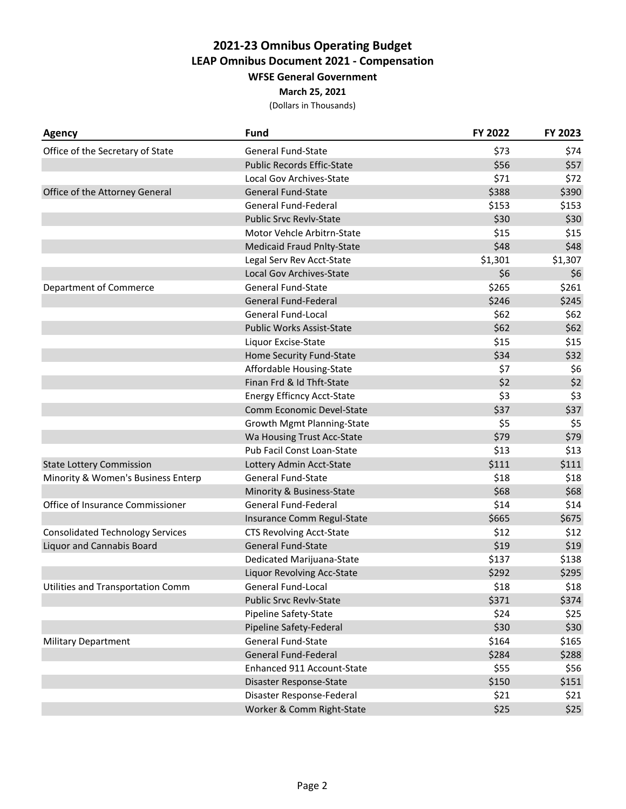### **March 25, 2021**

| <b>Agency</b>                           | <b>Fund</b>                       | FY 2022 | FY 2023 |
|-----------------------------------------|-----------------------------------|---------|---------|
| Office of the Secretary of State        | <b>General Fund-State</b>         | \$73    | \$74    |
|                                         | <b>Public Records Effic-State</b> | \$56    | \$57    |
|                                         | Local Gov Archives-State          | \$71    | \$72    |
| Office of the Attorney General          | <b>General Fund-State</b>         | \$388   | \$390   |
|                                         | <b>General Fund-Federal</b>       | \$153   | \$153   |
|                                         | <b>Public Srvc Revlv-State</b>    | \$30    | \$30    |
|                                         | Motor Vehcle Arbitrn-State        | \$15    | \$15    |
|                                         | <b>Medicaid Fraud Pnlty-State</b> | \$48    | \$48    |
|                                         | Legal Serv Rev Acct-State         | \$1,301 | \$1,307 |
|                                         | Local Gov Archives-State          | \$6     | \$6     |
| Department of Commerce                  | <b>General Fund-State</b>         | \$265   | \$261   |
|                                         | <b>General Fund-Federal</b>       | \$246   | \$245   |
|                                         | <b>General Fund-Local</b>         | \$62    | \$62    |
|                                         | <b>Public Works Assist-State</b>  | \$62    | \$62    |
|                                         | Liquor Excise-State               | \$15    | \$15    |
|                                         | Home Security Fund-State          | \$34    | \$32    |
|                                         | Affordable Housing-State          | \$7     | \$6     |
|                                         | Finan Frd & Id Thft-State         | \$2     | \$2     |
|                                         | <b>Energy Efficncy Acct-State</b> | \$3     | \$3     |
|                                         | Comm Economic Devel-State         | \$37    | \$37    |
|                                         | Growth Mgmt Planning-State        | \$5     | \$5     |
|                                         | Wa Housing Trust Acc-State        | \$79    | \$79    |
|                                         | Pub Facil Const Loan-State        | \$13    | \$13    |
| <b>State Lottery Commission</b>         | Lottery Admin Acct-State          | \$111   | \$111   |
| Minority & Women's Business Enterp      | <b>General Fund-State</b>         | \$18    | \$18    |
|                                         | Minority & Business-State         | \$68    | \$68    |
| Office of Insurance Commissioner        | <b>General Fund-Federal</b>       | \$14    | \$14    |
|                                         | Insurance Comm Regul-State        | \$665   | \$675   |
| <b>Consolidated Technology Services</b> | <b>CTS Revolving Acct-State</b>   | \$12    | \$12    |
| <b>Liquor and Cannabis Board</b>        | <b>General Fund-State</b>         | \$19    | \$19    |
|                                         | Dedicated Marijuana-State         | \$137   | \$138   |
|                                         | <b>Liquor Revolving Acc-State</b> | \$292   | \$295   |
| Utilities and Transportation Comm       | <b>General Fund-Local</b>         | \$18    | \$18    |
|                                         | <b>Public Srvc Revlv-State</b>    | \$371   | \$374   |
|                                         | Pipeline Safety-State             | \$24    | \$25    |
|                                         | Pipeline Safety-Federal           | \$30    | \$30    |
| <b>Military Department</b>              | <b>General Fund-State</b>         | \$164   | \$165   |
|                                         | <b>General Fund-Federal</b>       | \$284   | \$288   |
|                                         | Enhanced 911 Account-State        | \$55    | \$56    |
|                                         | Disaster Response-State           | \$150   | \$151   |
|                                         | Disaster Response-Federal         | \$21    | \$21    |
|                                         | Worker & Comm Right-State         | \$25    | \$25    |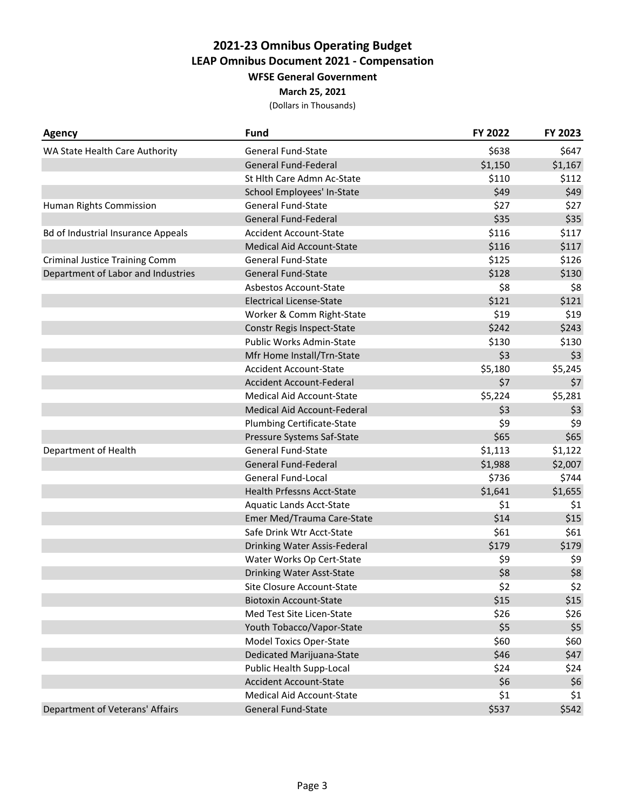#### **March 25, 2021**

| <b>Agency</b>                             | <b>Fund</b>                       | FY 2022 | FY 2023 |
|-------------------------------------------|-----------------------------------|---------|---------|
| WA State Health Care Authority            | <b>General Fund-State</b>         | \$638   | \$647   |
|                                           | <b>General Fund-Federal</b>       | \$1,150 | \$1,167 |
|                                           | St Hlth Care Admn Ac-State        | \$110   | \$112   |
|                                           | School Employees' In-State        | \$49    | \$49    |
| Human Rights Commission                   | <b>General Fund-State</b>         | \$27    | \$27    |
|                                           | <b>General Fund-Federal</b>       | \$35    | \$35    |
| <b>Bd of Industrial Insurance Appeals</b> | <b>Accident Account-State</b>     | \$116   | \$117   |
|                                           | <b>Medical Aid Account-State</b>  | \$116   | \$117   |
| <b>Criminal Justice Training Comm</b>     | <b>General Fund-State</b>         | \$125   | \$126   |
| Department of Labor and Industries        | <b>General Fund-State</b>         | \$128   | \$130   |
|                                           | <b>Asbestos Account-State</b>     | \$8     | \$8     |
|                                           | <b>Electrical License-State</b>   | \$121   | \$121   |
|                                           | Worker & Comm Right-State         | \$19    | \$19    |
|                                           | Constr Regis Inspect-State        | \$242   | \$243   |
|                                           | Public Works Admin-State          | \$130   | \$130   |
|                                           | Mfr Home Install/Trn-State        | \$3     | \$3     |
|                                           | <b>Accident Account-State</b>     | \$5,180 | \$5,245 |
|                                           | <b>Accident Account-Federal</b>   | \$7     | \$7     |
|                                           | <b>Medical Aid Account-State</b>  | \$5,224 | \$5,281 |
|                                           | Medical Aid Account-Federal       | \$3     | \$3     |
|                                           | <b>Plumbing Certificate-State</b> | \$9     | \$9     |
|                                           | Pressure Systems Saf-State        | \$65    | \$65    |
| Department of Health                      | <b>General Fund-State</b>         | \$1,113 | \$1,122 |
|                                           | <b>General Fund-Federal</b>       | \$1,988 | \$2,007 |
|                                           | <b>General Fund-Local</b>         | \$736   | \$744   |
|                                           | <b>Health Prfessns Acct-State</b> | \$1,641 | \$1,655 |
|                                           | <b>Aquatic Lands Acct-State</b>   | \$1     | \$1     |
|                                           | Emer Med/Trauma Care-State        | \$14    | \$15    |
|                                           | Safe Drink Wtr Acct-State         | \$61    | \$61    |
|                                           | Drinking Water Assis-Federal      | \$179   | \$179   |
|                                           | Water Works Op Cert-State         | \$9     | \$9     |
|                                           | Drinking Water Asst-State         | \$8     | \$8     |
|                                           | Site Closure Account-State        | \$2     | \$2     |
|                                           | <b>Biotoxin Account-State</b>     | \$15    | \$15    |
|                                           | Med Test Site Licen-State         | \$26    | \$26    |
|                                           | Youth Tobacco/Vapor-State         | \$5     | \$5     |
|                                           | <b>Model Toxics Oper-State</b>    | \$60    | \$60    |
|                                           | <b>Dedicated Marijuana-State</b>  | \$46    | \$47    |
|                                           | Public Health Supp-Local          | \$24    | \$24    |
|                                           | <b>Accident Account-State</b>     | \$6     | \$6     |
|                                           | <b>Medical Aid Account-State</b>  | \$1     | \$1     |
| Department of Veterans' Affairs           | <b>General Fund-State</b>         | \$537   | \$542   |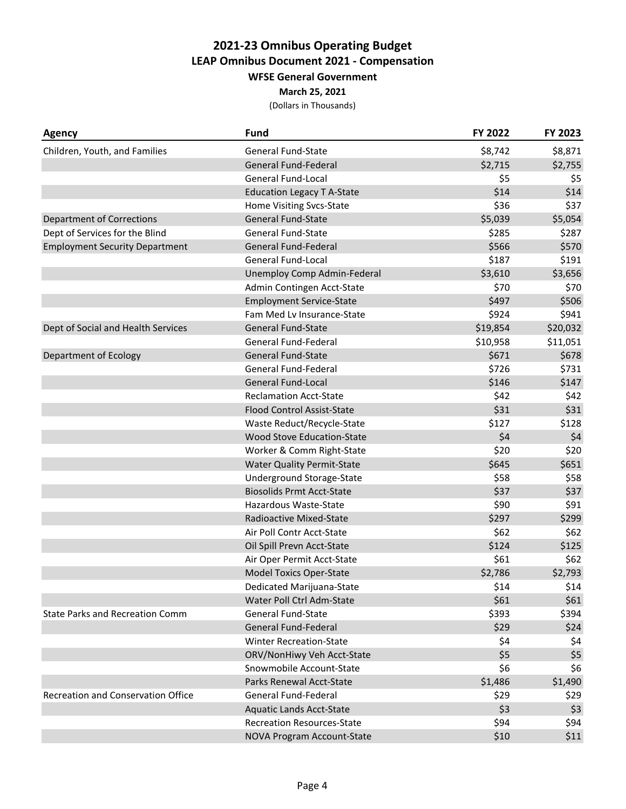#### **March 25, 2021**

| <b>Agency</b>                             | <b>Fund</b>                        | FY 2022  | FY 2023  |
|-------------------------------------------|------------------------------------|----------|----------|
| Children, Youth, and Families             | <b>General Fund-State</b>          | \$8,742  | \$8,871  |
|                                           | <b>General Fund-Federal</b>        | \$2,715  | \$2,755  |
|                                           | <b>General Fund-Local</b>          | \$5      | \$5      |
|                                           | <b>Education Legacy T A-State</b>  | \$14     | \$14     |
|                                           | Home Visiting Svcs-State           | \$36     | \$37     |
| <b>Department of Corrections</b>          | <b>General Fund-State</b>          | \$5,039  | \$5,054  |
| Dept of Services for the Blind            | <b>General Fund-State</b>          | \$285    | \$287    |
| <b>Employment Security Department</b>     | <b>General Fund-Federal</b>        | \$566    | \$570    |
|                                           | <b>General Fund-Local</b>          | \$187    | \$191    |
|                                           | <b>Unemploy Comp Admin-Federal</b> | \$3,610  | \$3,656  |
|                                           | Admin Contingen Acct-State         | \$70     | \$70     |
|                                           | <b>Employment Service-State</b>    | \$497    | \$506    |
|                                           | Fam Med Lv Insurance-State         | \$924    | \$941    |
| Dept of Social and Health Services        | <b>General Fund-State</b>          | \$19,854 | \$20,032 |
|                                           | General Fund-Federal               | \$10,958 | \$11,051 |
| <b>Department of Ecology</b>              | <b>General Fund-State</b>          | \$671    | \$678    |
|                                           | <b>General Fund-Federal</b>        | \$726    | \$731    |
|                                           | <b>General Fund-Local</b>          | \$146    | \$147    |
|                                           | <b>Reclamation Acct-State</b>      | \$42     | \$42     |
|                                           | <b>Flood Control Assist-State</b>  | \$31     | \$31     |
|                                           | Waste Reduct/Recycle-State         | \$127    | \$128    |
|                                           | <b>Wood Stove Education-State</b>  | \$4      | \$4      |
|                                           | Worker & Comm Right-State          | \$20     | \$20     |
|                                           | <b>Water Quality Permit-State</b>  | \$645    | \$651    |
|                                           | Underground Storage-State          | \$58     | \$58     |
|                                           | <b>Biosolids Prmt Acct-State</b>   | \$37     | \$37     |
|                                           | Hazardous Waste-State              | \$90     | \$91     |
|                                           | Radioactive Mixed-State            | \$297    | \$299    |
|                                           | Air Poll Contr Acct-State          | \$62     | \$62     |
|                                           | Oil Spill Prevn Acct-State         | \$124    | \$125    |
|                                           | Air Oper Permit Acct-State         | \$61     | \$62     |
|                                           | <b>Model Toxics Oper-State</b>     | \$2,786  | \$2,793  |
|                                           | Dedicated Marijuana-State          | \$14     | \$14     |
|                                           | Water Poll Ctrl Adm-State          | \$61     | \$61     |
| <b>State Parks and Recreation Comm</b>    | <b>General Fund-State</b>          | \$393    | \$394    |
|                                           | <b>General Fund-Federal</b>        | \$29     | \$24     |
|                                           | <b>Winter Recreation-State</b>     | \$4      | \$4      |
|                                           | ORV/NonHiwy Veh Acct-State         | \$5      | \$5      |
|                                           | Snowmobile Account-State           | \$6      | \$6      |
|                                           | Parks Renewal Acct-State           | \$1,486  | \$1,490  |
| <b>Recreation and Conservation Office</b> | General Fund-Federal               | \$29     | \$29     |
|                                           | <b>Aquatic Lands Acct-State</b>    | \$3      | \$3      |
|                                           | <b>Recreation Resources-State</b>  | \$94     | \$94     |
|                                           | NOVA Program Account-State         | \$10     | \$11     |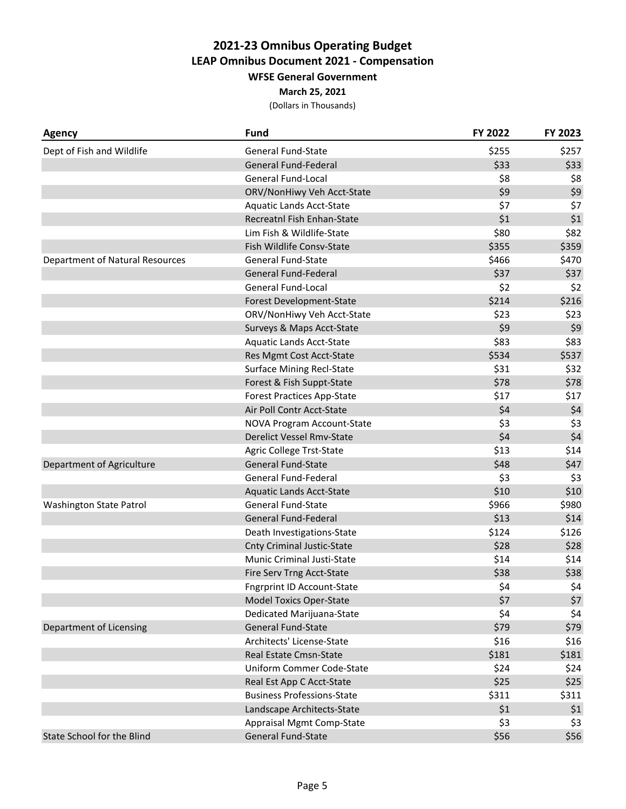#### **March 25, 2021**

| <b>General Fund-State</b><br>\$255<br>\$257<br>Dept of Fish and Wildlife<br><b>General Fund-Federal</b><br>\$33<br>\$33<br><b>General Fund-Local</b><br>\$8<br>\$8<br>\$9<br>\$9<br>ORV/NonHiwy Veh Acct-State<br>\$7<br>\$7<br><b>Aquatic Lands Acct-State</b><br>$$1$$<br>\$1<br>Recreatnl Fish Enhan-State<br>\$80<br>\$82<br>Lim Fish & Wildlife-State<br>\$355<br>\$359<br>Fish Wildlife Consv-State<br>\$466<br><b>Department of Natural Resources</b><br><b>General Fund-State</b><br>\$470<br>\$37<br><b>General Fund-Federal</b><br>\$37<br><b>General Fund-Local</b><br>\$2<br>\$2<br>\$214<br>Forest Development-State<br>\$216<br>ORV/NonHiwy Veh Acct-State<br>\$23<br>\$23 |
|------------------------------------------------------------------------------------------------------------------------------------------------------------------------------------------------------------------------------------------------------------------------------------------------------------------------------------------------------------------------------------------------------------------------------------------------------------------------------------------------------------------------------------------------------------------------------------------------------------------------------------------------------------------------------------------|
|                                                                                                                                                                                                                                                                                                                                                                                                                                                                                                                                                                                                                                                                                          |
|                                                                                                                                                                                                                                                                                                                                                                                                                                                                                                                                                                                                                                                                                          |
|                                                                                                                                                                                                                                                                                                                                                                                                                                                                                                                                                                                                                                                                                          |
|                                                                                                                                                                                                                                                                                                                                                                                                                                                                                                                                                                                                                                                                                          |
|                                                                                                                                                                                                                                                                                                                                                                                                                                                                                                                                                                                                                                                                                          |
|                                                                                                                                                                                                                                                                                                                                                                                                                                                                                                                                                                                                                                                                                          |
|                                                                                                                                                                                                                                                                                                                                                                                                                                                                                                                                                                                                                                                                                          |
|                                                                                                                                                                                                                                                                                                                                                                                                                                                                                                                                                                                                                                                                                          |
|                                                                                                                                                                                                                                                                                                                                                                                                                                                                                                                                                                                                                                                                                          |
|                                                                                                                                                                                                                                                                                                                                                                                                                                                                                                                                                                                                                                                                                          |
|                                                                                                                                                                                                                                                                                                                                                                                                                                                                                                                                                                                                                                                                                          |
|                                                                                                                                                                                                                                                                                                                                                                                                                                                                                                                                                                                                                                                                                          |
|                                                                                                                                                                                                                                                                                                                                                                                                                                                                                                                                                                                                                                                                                          |
| \$9<br>\$9<br>Surveys & Maps Acct-State                                                                                                                                                                                                                                                                                                                                                                                                                                                                                                                                                                                                                                                  |
| \$83<br>\$83<br><b>Aquatic Lands Acct-State</b>                                                                                                                                                                                                                                                                                                                                                                                                                                                                                                                                                                                                                                          |
| \$534<br>\$537<br>Res Mgmt Cost Acct-State                                                                                                                                                                                                                                                                                                                                                                                                                                                                                                                                                                                                                                               |
| \$31<br><b>Surface Mining Recl-State</b><br>\$32                                                                                                                                                                                                                                                                                                                                                                                                                                                                                                                                                                                                                                         |
| \$78<br>\$78<br>Forest & Fish Suppt-State                                                                                                                                                                                                                                                                                                                                                                                                                                                                                                                                                                                                                                                |
| \$17<br><b>Forest Practices App-State</b><br>\$17                                                                                                                                                                                                                                                                                                                                                                                                                                                                                                                                                                                                                                        |
| \$4<br>\$4<br>Air Poll Contr Acct-State                                                                                                                                                                                                                                                                                                                                                                                                                                                                                                                                                                                                                                                  |
| \$3<br>\$3<br>NOVA Program Account-State                                                                                                                                                                                                                                                                                                                                                                                                                                                                                                                                                                                                                                                 |
| \$4<br>\$4<br><b>Derelict Vessel Rmv-State</b>                                                                                                                                                                                                                                                                                                                                                                                                                                                                                                                                                                                                                                           |
| \$13<br><b>Agric College Trst-State</b><br>\$14                                                                                                                                                                                                                                                                                                                                                                                                                                                                                                                                                                                                                                          |
| \$48<br>\$47<br><b>General Fund-State</b><br>Department of Agriculture                                                                                                                                                                                                                                                                                                                                                                                                                                                                                                                                                                                                                   |
| \$3<br>\$3<br><b>General Fund-Federal</b>                                                                                                                                                                                                                                                                                                                                                                                                                                                                                                                                                                                                                                                |
| \$10<br>\$10<br><b>Aquatic Lands Acct-State</b>                                                                                                                                                                                                                                                                                                                                                                                                                                                                                                                                                                                                                                          |
| <b>General Fund-State</b><br>\$966<br>\$980<br>Washington State Patrol                                                                                                                                                                                                                                                                                                                                                                                                                                                                                                                                                                                                                   |
| <b>General Fund-Federal</b><br>\$13<br>\$14                                                                                                                                                                                                                                                                                                                                                                                                                                                                                                                                                                                                                                              |
| \$124<br>\$126<br>Death Investigations-State                                                                                                                                                                                                                                                                                                                                                                                                                                                                                                                                                                                                                                             |
| \$28<br>\$28<br><b>Cnty Criminal Justic-State</b>                                                                                                                                                                                                                                                                                                                                                                                                                                                                                                                                                                                                                                        |
| \$14<br>\$14<br>Munic Criminal Justi-State                                                                                                                                                                                                                                                                                                                                                                                                                                                                                                                                                                                                                                               |
| \$38<br>\$38<br>Fire Serv Trng Acct-State                                                                                                                                                                                                                                                                                                                                                                                                                                                                                                                                                                                                                                                |
| \$4<br><b>Fngrprint ID Account-State</b><br>\$4                                                                                                                                                                                                                                                                                                                                                                                                                                                                                                                                                                                                                                          |
| $$7$<br>\$7<br><b>Model Toxics Oper-State</b>                                                                                                                                                                                                                                                                                                                                                                                                                                                                                                                                                                                                                                            |
| \$4<br>\$4<br>Dedicated Marijuana-State                                                                                                                                                                                                                                                                                                                                                                                                                                                                                                                                                                                                                                                  |
| \$79<br><b>General Fund-State</b><br>\$79<br>Department of Licensing                                                                                                                                                                                                                                                                                                                                                                                                                                                                                                                                                                                                                     |
| Architects' License-State<br>\$16<br>\$16                                                                                                                                                                                                                                                                                                                                                                                                                                                                                                                                                                                                                                                |
| \$181<br>Real Estate Cmsn-State<br>\$181                                                                                                                                                                                                                                                                                                                                                                                                                                                                                                                                                                                                                                                 |
| <b>Uniform Commer Code-State</b><br>\$24<br>\$24                                                                                                                                                                                                                                                                                                                                                                                                                                                                                                                                                                                                                                         |
| \$25<br>\$25<br>Real Est App C Acct-State                                                                                                                                                                                                                                                                                                                                                                                                                                                                                                                                                                                                                                                |
| <b>Business Professions-State</b><br>\$311<br>\$311                                                                                                                                                                                                                                                                                                                                                                                                                                                                                                                                                                                                                                      |
| \$1<br>\$1<br>Landscape Architects-State                                                                                                                                                                                                                                                                                                                                                                                                                                                                                                                                                                                                                                                 |
| \$3<br>\$3<br><b>Appraisal Mgmt Comp-State</b>                                                                                                                                                                                                                                                                                                                                                                                                                                                                                                                                                                                                                                           |
| <b>State School for the Blind</b><br>General Fund-State<br>\$56<br>\$56                                                                                                                                                                                                                                                                                                                                                                                                                                                                                                                                                                                                                  |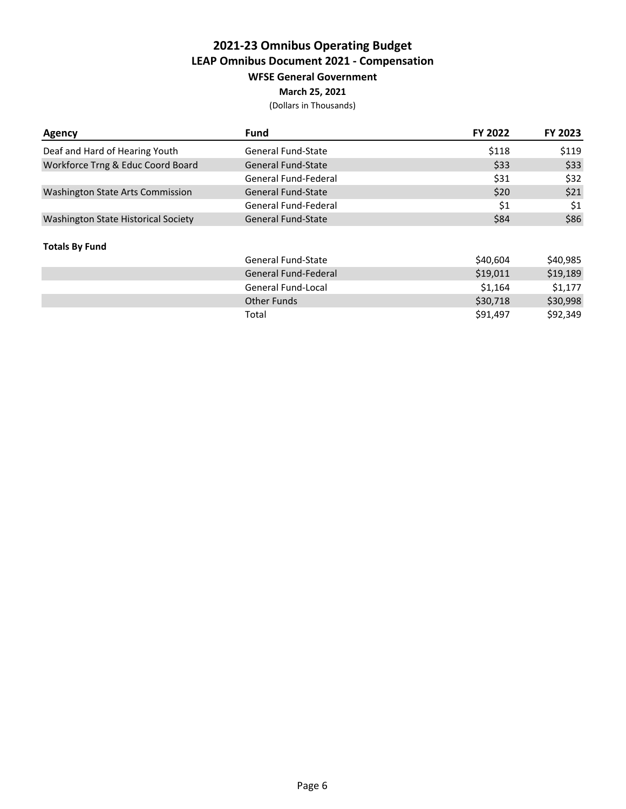### **March 25, 2021**

| <b>Agency</b>                              | <b>Fund</b>               | FY 2022  | FY 2023  |
|--------------------------------------------|---------------------------|----------|----------|
| Deaf and Hard of Hearing Youth             | <b>General Fund-State</b> | \$118    | \$119    |
| Workforce Trng & Educ Coord Board          | <b>General Fund-State</b> | \$33     | \$33     |
|                                            | General Fund-Federal      | \$31     | \$32     |
| <b>Washington State Arts Commission</b>    | <b>General Fund-State</b> | \$20     | \$21     |
|                                            | General Fund-Federal      | \$1      | \$1      |
| <b>Washington State Historical Society</b> | General Fund-State        | \$84     | \$86     |
| <b>Totals By Fund</b>                      |                           |          |          |
|                                            | <b>General Fund-State</b> | \$40,604 | \$40,985 |
|                                            | General Fund-Federal      | \$19,011 | \$19,189 |
|                                            | General Fund-Local        | \$1,164  | \$1,177  |
|                                            | <b>Other Funds</b>        | \$30,718 | \$30,998 |
|                                            | Total                     | \$91,497 | \$92,349 |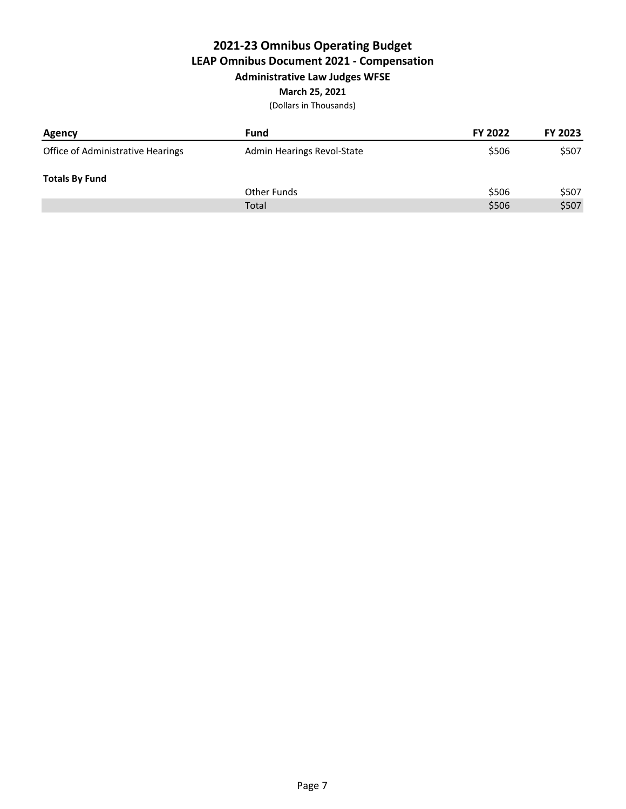# **2021-23 Omnibus Operating Budget LEAP Omnibus Document 2021 - Compensation Administrative Law Judges WFSE**

# **March 25, 2021**

| <b>Agency</b>                     | <b>Fund</b>                | FY 2022 | FY 2023 |
|-----------------------------------|----------------------------|---------|---------|
| Office of Administrative Hearings | Admin Hearings Revol-State | \$506   | \$507   |
| <b>Totals By Fund</b>             |                            |         |         |
|                                   | Other Funds                | \$506   | \$507   |
|                                   | Total                      | \$506   | \$507   |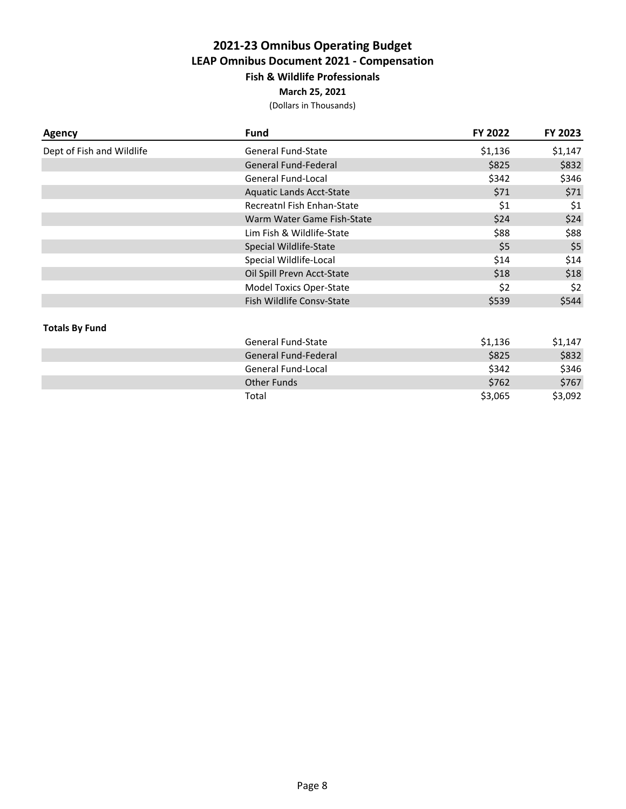# **2021-23 Omnibus Operating Budget LEAP Omnibus Document 2021 - Compensation Fish & Wildlife Professionals**

**March 25, 2021**

| <b>Agency</b>             | <b>Fund</b>                     | FY 2022 | FY 2023 |
|---------------------------|---------------------------------|---------|---------|
| Dept of Fish and Wildlife | <b>General Fund-State</b>       | \$1,136 | \$1,147 |
|                           | <b>General Fund-Federal</b>     | \$825   | \$832   |
|                           | <b>General Fund-Local</b>       | \$342   | \$346   |
|                           | <b>Aquatic Lands Acct-State</b> | \$71    | \$71    |
|                           | Recreatnl Fish Enhan-State      | \$1     | \$1     |
|                           | Warm Water Game Fish-State      | \$24    | \$24    |
|                           | Lim Fish & Wildlife-State       | \$88    | \$88    |
|                           | Special Wildlife-State          | \$5     | \$5     |
|                           | Special Wildlife-Local          | \$14    | \$14    |
|                           | Oil Spill Prevn Acct-State      | \$18    | \$18    |
|                           | <b>Model Toxics Oper-State</b>  | \$2     | \$2     |
|                           | Fish Wildlife Consv-State       | \$539   | \$544   |
| <b>Totals By Fund</b>     |                                 |         |         |
|                           | <b>General Fund-State</b>       | \$1,136 | \$1,147 |
|                           | <b>General Fund-Federal</b>     | \$825   | \$832   |
|                           | <b>General Fund-Local</b>       | \$342   | \$346   |
|                           | <b>Other Funds</b>              | \$762   | \$767   |
|                           | Total                           | \$3,065 | \$3,092 |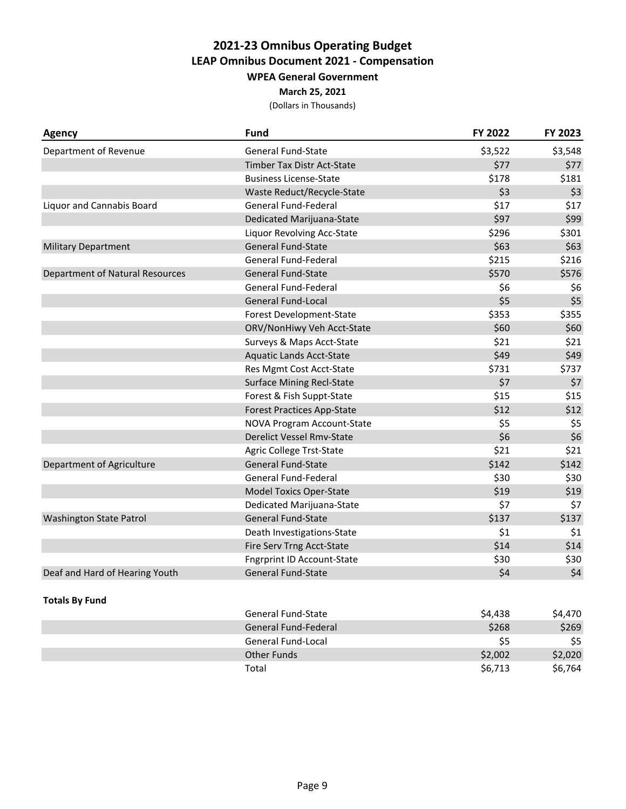### **March 25, 2021**

| <b>Agency</b>                          | <b>Fund</b>                       | FY 2022 | FY 2023 |
|----------------------------------------|-----------------------------------|---------|---------|
| Department of Revenue                  | <b>General Fund-State</b>         | \$3,522 | \$3,548 |
|                                        | Timber Tax Distr Act-State        | \$77    | \$77    |
|                                        | <b>Business License-State</b>     | \$178   | \$181   |
|                                        | Waste Reduct/Recycle-State        | \$3     | \$3     |
| Liquor and Cannabis Board              | <b>General Fund-Federal</b>       | \$17    | \$17    |
|                                        | Dedicated Marijuana-State         | \$97    | \$99    |
|                                        | Liquor Revolving Acc-State        | \$296   | \$301   |
| <b>Military Department</b>             | <b>General Fund-State</b>         | \$63    | \$63    |
|                                        | <b>General Fund-Federal</b>       | \$215   | \$216   |
| <b>Department of Natural Resources</b> | <b>General Fund-State</b>         | \$570   | \$576   |
|                                        | <b>General Fund-Federal</b>       | \$6     | \$6     |
|                                        | <b>General Fund-Local</b>         | \$5     | \$5     |
|                                        | Forest Development-State          | \$353   | \$355   |
|                                        | ORV/NonHiwy Veh Acct-State        | \$60    | \$60    |
|                                        | Surveys & Maps Acct-State         | \$21    | \$21    |
|                                        | <b>Aquatic Lands Acct-State</b>   | \$49    | \$49    |
|                                        | Res Mgmt Cost Acct-State          | \$731   | \$737   |
|                                        | <b>Surface Mining Recl-State</b>  | \$7     | \$7     |
|                                        | Forest & Fish Suppt-State         | \$15    | \$15    |
|                                        | <b>Forest Practices App-State</b> | \$12    | \$12    |
|                                        | NOVA Program Account-State        | \$5     | \$5     |
|                                        | <b>Derelict Vessel Rmv-State</b>  | \$6     | \$6     |
|                                        | <b>Agric College Trst-State</b>   | \$21    | \$21    |
| Department of Agriculture              | <b>General Fund-State</b>         | \$142   | \$142   |
|                                        | <b>General Fund-Federal</b>       | \$30    | \$30    |
|                                        | <b>Model Toxics Oper-State</b>    | \$19    | \$19    |
|                                        | Dedicated Marijuana-State         | \$7     | \$7     |
| <b>Washington State Patrol</b>         | <b>General Fund-State</b>         | \$137   | \$137   |
|                                        | Death Investigations-State        | \$1     | \$1     |
|                                        | Fire Serv Trng Acct-State         | \$14    | \$14    |
|                                        | <b>Fngrprint ID Account-State</b> | \$30    | \$30    |
| Deaf and Hard of Hearing Youth         | General Fund-State                | \$4     | \$4     |
| <b>Totals By Fund</b>                  |                                   |         |         |
|                                        | <b>General Fund-State</b>         | \$4,438 | \$4,470 |
|                                        | <b>General Fund-Federal</b>       | \$268   | \$269   |
|                                        | <b>General Fund-Local</b>         | \$5     | \$5     |
|                                        | <b>Other Funds</b>                | \$2,002 | \$2,020 |
|                                        | Total                             | \$6,713 | \$6,764 |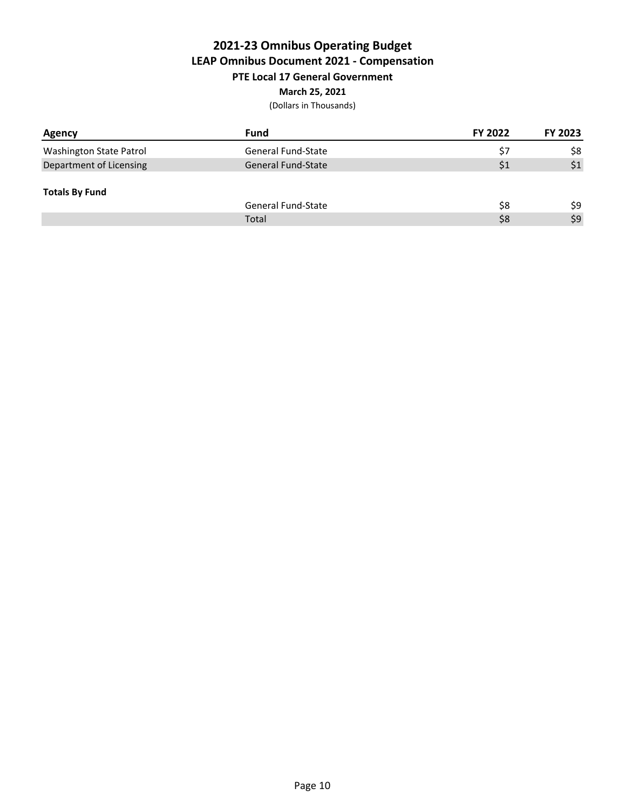## **2021-23 Omnibus Operating Budget LEAP Omnibus Document 2021 - Compensation PTE Local 17 General Government March 25, 2021**

| Agency                  | Fund                      | FY 2022 | FY 2023 |
|-------------------------|---------------------------|---------|---------|
| Washington State Patrol | <b>General Fund-State</b> | \$7     | \$8     |
| Department of Licensing | <b>General Fund-State</b> | \$1     | \$1     |
| <b>Totals By Fund</b>   |                           |         |         |
|                         | <b>General Fund-State</b> | \$8     | \$9     |
|                         | Total                     | \$8     | \$9     |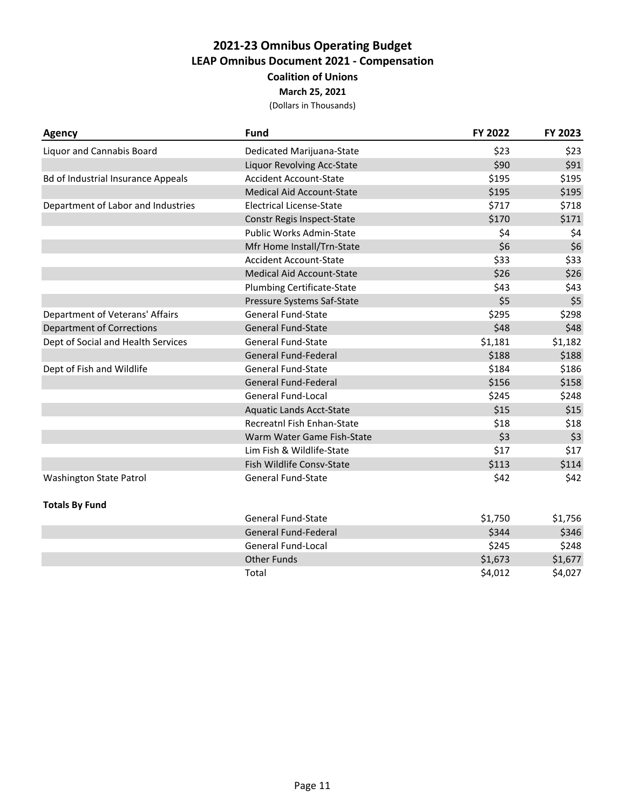## **2021-23 Omnibus Operating Budget LEAP Omnibus Document 2021 - Compensation Coalition of Unions March 25, 2021**

| <b>Agency</b>                             | <b>Fund</b>                       | FY 2022 | FY 2023 |
|-------------------------------------------|-----------------------------------|---------|---------|
| <b>Liquor and Cannabis Board</b>          | Dedicated Marijuana-State         | \$23    | \$23    |
|                                           | <b>Liquor Revolving Acc-State</b> | \$90    | \$91    |
| <b>Bd of Industrial Insurance Appeals</b> | <b>Accident Account-State</b>     | \$195   | \$195   |
|                                           | <b>Medical Aid Account-State</b>  | \$195   | \$195   |
| Department of Labor and Industries        | <b>Electrical License-State</b>   | \$717   | \$718   |
|                                           | Constr Regis Inspect-State        | \$170   | \$171   |
|                                           | Public Works Admin-State          | \$4     | \$4     |
|                                           | Mfr Home Install/Trn-State        | \$6     | \$6     |
|                                           | <b>Accident Account-State</b>     | \$33    | \$33    |
|                                           | <b>Medical Aid Account-State</b>  | \$26    | \$26    |
|                                           | <b>Plumbing Certificate-State</b> | \$43    | \$43    |
|                                           | Pressure Systems Saf-State        | \$5     | \$5     |
| Department of Veterans' Affairs           | <b>General Fund-State</b>         | \$295   | \$298   |
| <b>Department of Corrections</b>          | <b>General Fund-State</b>         | \$48    | \$48    |
| Dept of Social and Health Services        | <b>General Fund-State</b>         | \$1,181 | \$1,182 |
|                                           | <b>General Fund-Federal</b>       | \$188   | \$188   |
| Dept of Fish and Wildlife                 | <b>General Fund-State</b>         | \$184   | \$186   |
|                                           | <b>General Fund-Federal</b>       | \$156   | \$158   |
|                                           | <b>General Fund-Local</b>         | \$245   | \$248   |
|                                           | <b>Aquatic Lands Acct-State</b>   | \$15    | \$15    |
|                                           | Recreatnl Fish Enhan-State        | \$18    | \$18    |
|                                           | Warm Water Game Fish-State        | \$3     | \$3     |
|                                           | Lim Fish & Wildlife-State         | \$17    | \$17    |
|                                           | Fish Wildlife Consv-State         | \$113   | \$114   |
| <b>Washington State Patrol</b>            | <b>General Fund-State</b>         | \$42    | \$42    |
| <b>Totals By Fund</b>                     |                                   |         |         |
|                                           | <b>General Fund-State</b>         | \$1,750 | \$1,756 |
|                                           | <b>General Fund-Federal</b>       | \$344   | \$346   |
|                                           | General Fund-Local                | \$245   | \$248   |
|                                           | <b>Other Funds</b>                | \$1,673 | \$1,677 |
|                                           | Total                             | \$4,012 | \$4,027 |